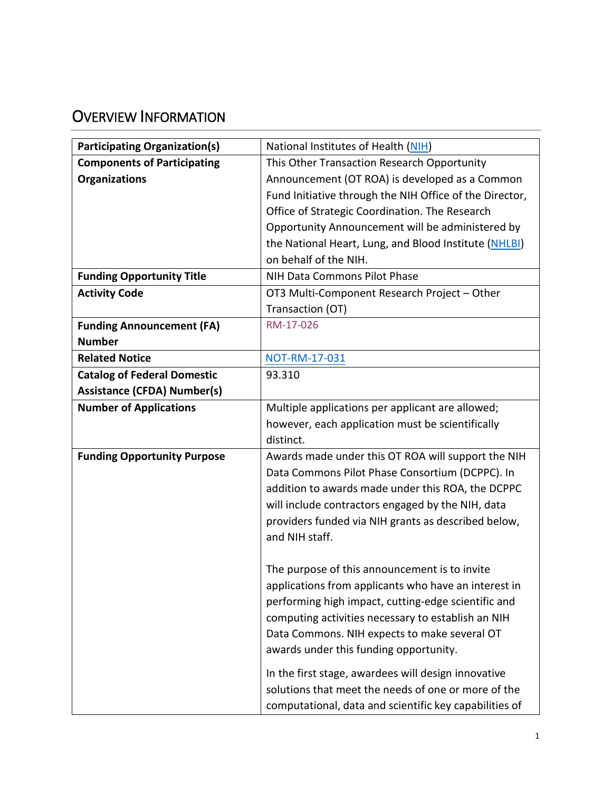# OVERVIEW INFORMATION

| <b>Participating Organization(s)</b> | National Institutes of Health (NIH)                     |  |
|--------------------------------------|---------------------------------------------------------|--|
| <b>Components of Participating</b>   | This Other Transaction Research Opportunity             |  |
| <b>Organizations</b>                 | Announcement (OT ROA) is developed as a Common          |  |
|                                      | Fund Initiative through the NIH Office of the Director, |  |
|                                      | Office of Strategic Coordination. The Research          |  |
|                                      | Opportunity Announcement will be administered by        |  |
|                                      | the National Heart, Lung, and Blood Institute (NHLBI)   |  |
|                                      | on behalf of the NIH.                                   |  |
| <b>Funding Opportunity Title</b>     | NIH Data Commons Pilot Phase                            |  |
| <b>Activity Code</b>                 | OT3 Multi-Component Research Project - Other            |  |
|                                      | Transaction (OT)                                        |  |
| <b>Funding Announcement (FA)</b>     | RM-17-026                                               |  |
| <b>Number</b>                        |                                                         |  |
| <b>Related Notice</b>                | NOT-RM-17-031                                           |  |
| <b>Catalog of Federal Domestic</b>   | 93.310                                                  |  |
| <b>Assistance (CFDA) Number(s)</b>   |                                                         |  |
| <b>Number of Applications</b>        | Multiple applications per applicant are allowed;        |  |
|                                      | however, each application must be scientifically        |  |
|                                      | distinct.                                               |  |
| <b>Funding Opportunity Purpose</b>   | Awards made under this OT ROA will support the NIH      |  |
|                                      | Data Commons Pilot Phase Consortium (DCPPC). In         |  |
|                                      | addition to awards made under this ROA, the DCPPC       |  |
|                                      | will include contractors engaged by the NIH, data       |  |
|                                      | providers funded via NIH grants as described below,     |  |
|                                      | and NIH staff.                                          |  |
|                                      |                                                         |  |
|                                      | The purpose of this announcement is to invite           |  |
|                                      | applications from applicants who have an interest in    |  |
|                                      | performing high impact, cutting-edge scientific and     |  |
|                                      | computing activities necessary to establish an NIH      |  |
|                                      | Data Commons. NIH expects to make several OT            |  |
|                                      | awards under this funding opportunity.                  |  |
|                                      | In the first stage, awardees will design innovative     |  |
|                                      | solutions that meet the needs of one or more of the     |  |
|                                      | computational, data and scientific key capabilities of  |  |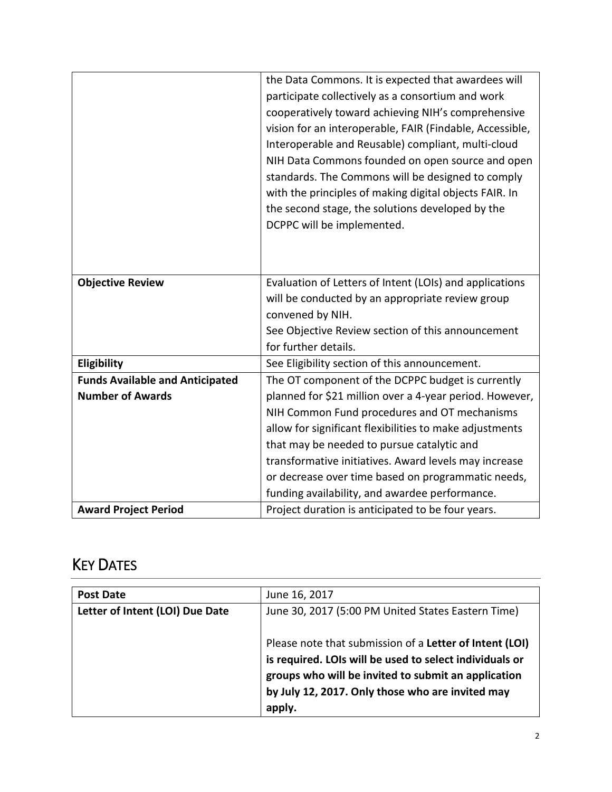|                                        | the Data Commons. It is expected that awardees will<br>participate collectively as a consortium and work<br>cooperatively toward achieving NIH's comprehensive<br>vision for an interoperable, FAIR (Findable, Accessible,<br>Interoperable and Reusable) compliant, multi-cloud<br>NIH Data Commons founded on open source and open<br>standards. The Commons will be designed to comply<br>with the principles of making digital objects FAIR. In<br>the second stage, the solutions developed by the |
|----------------------------------------|---------------------------------------------------------------------------------------------------------------------------------------------------------------------------------------------------------------------------------------------------------------------------------------------------------------------------------------------------------------------------------------------------------------------------------------------------------------------------------------------------------|
|                                        | DCPPC will be implemented.                                                                                                                                                                                                                                                                                                                                                                                                                                                                              |
| <b>Objective Review</b>                | Evaluation of Letters of Intent (LOIs) and applications<br>will be conducted by an appropriate review group<br>convened by NIH.<br>See Objective Review section of this announcement<br>for further details.                                                                                                                                                                                                                                                                                            |
| Eligibility                            | See Eligibility section of this announcement.                                                                                                                                                                                                                                                                                                                                                                                                                                                           |
| <b>Funds Available and Anticipated</b> | The OT component of the DCPPC budget is currently                                                                                                                                                                                                                                                                                                                                                                                                                                                       |
| <b>Number of Awards</b>                | planned for \$21 million over a 4-year period. However,                                                                                                                                                                                                                                                                                                                                                                                                                                                 |
|                                        | NIH Common Fund procedures and OT mechanisms                                                                                                                                                                                                                                                                                                                                                                                                                                                            |
|                                        | allow for significant flexibilities to make adjustments                                                                                                                                                                                                                                                                                                                                                                                                                                                 |
|                                        | that may be needed to pursue catalytic and                                                                                                                                                                                                                                                                                                                                                                                                                                                              |
|                                        | transformative initiatives. Award levels may increase                                                                                                                                                                                                                                                                                                                                                                                                                                                   |
|                                        | or decrease over time based on programmatic needs,                                                                                                                                                                                                                                                                                                                                                                                                                                                      |
|                                        | funding availability, and awardee performance.                                                                                                                                                                                                                                                                                                                                                                                                                                                          |
| <b>Award Project Period</b>            | Project duration is anticipated to be four years.                                                                                                                                                                                                                                                                                                                                                                                                                                                       |

# KEY DATES

| <b>Post Date</b>                | June 16, 2017                                                                                                                                                                                                                           |  |
|---------------------------------|-----------------------------------------------------------------------------------------------------------------------------------------------------------------------------------------------------------------------------------------|--|
| Letter of Intent (LOI) Due Date | June 30, 2017 (5:00 PM United States Eastern Time)                                                                                                                                                                                      |  |
|                                 | Please note that submission of a Letter of Intent (LOI)<br>is required. LOIs will be used to select individuals or<br>groups who will be invited to submit an application<br>by July 12, 2017. Only those who are invited may<br>apply. |  |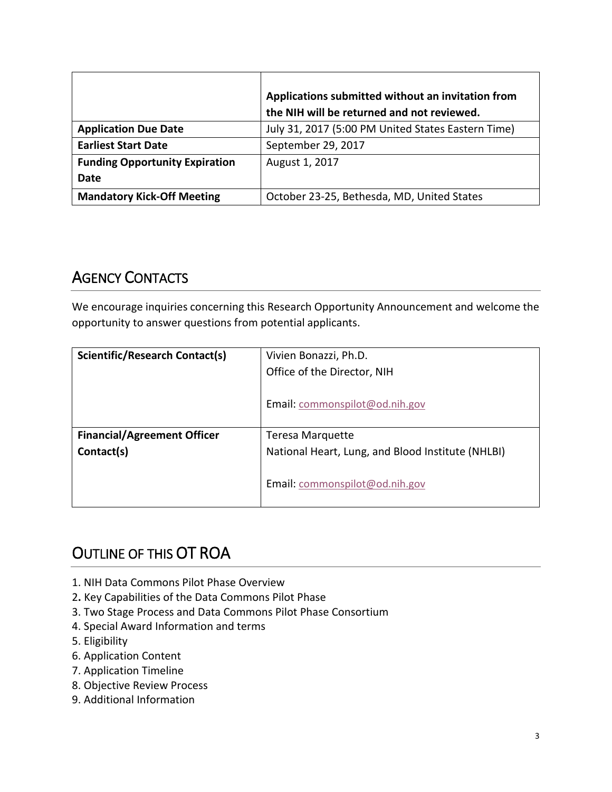|                                       | Applications submitted without an invitation from<br>the NIH will be returned and not reviewed. |
|---------------------------------------|-------------------------------------------------------------------------------------------------|
| <b>Application Due Date</b>           | July 31, 2017 (5:00 PM United States Eastern Time)                                              |
| <b>Earliest Start Date</b>            | September 29, 2017                                                                              |
| <b>Funding Opportunity Expiration</b> | August 1, 2017                                                                                  |
| Date                                  |                                                                                                 |
| <b>Mandatory Kick-Off Meeting</b>     | October 23-25, Bethesda, MD, United States                                                      |

# AGENCY CONTACTS

We encourage inquiries concerning this Research Opportunity Announcement and welcome the opportunity to answer questions from potential applicants.

| <b>Scientific/Research Contact(s)</b> | Vivien Bonazzi, Ph.D.                             |  |
|---------------------------------------|---------------------------------------------------|--|
|                                       | Office of the Director, NIH                       |  |
|                                       | Email: commonspilot@od.nih.gov                    |  |
|                                       |                                                   |  |
| <b>Financial/Agreement Officer</b>    | <b>Teresa Marquette</b>                           |  |
| Contact(s)                            | National Heart, Lung, and Blood Institute (NHLBI) |  |
|                                       | Email: commonspilot@od.nih.gov                    |  |

# OUTLINE OF THIS OT ROA

- 1. NIH Data Commons Pilot Phase Overview
- 2**.** Key Capabilities of the Data Commons Pilot Phase
- 3. Two Stage Process and Data Commons Pilot Phase Consortium
- 4. Special Award Information and terms
- 5. Eligibility
- 6. Application Content
- 7. Application Timeline
- 8. Objective Review Process
- 9. Additional Information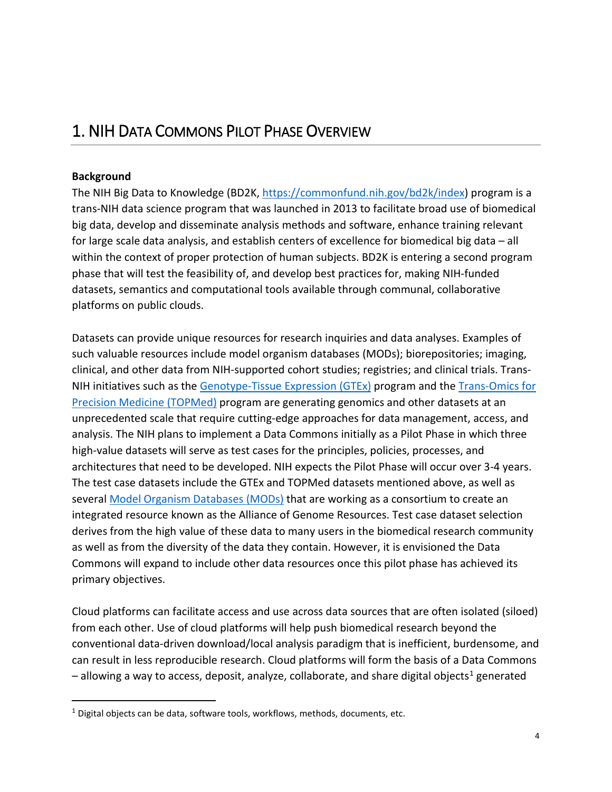# 1. NIH DATA COMMONS PILOT PHASE OVERVIEW

#### **Background**

 $\overline{a}$ 

The NIH Big Data to Knowledge (BD2K, [https://commonfund.nih.gov/bd2k/index\)](https://commonfund.nih.gov/bd2k/index) program is a trans-NIH data science program that was launched in 2013 to facilitate broad use of biomedical big data, develop and disseminate analysis methods and software, enhance training relevant for large scale data analysis, and establish centers of excellence for biomedical big data – all within the context of proper protection of human subjects. BD2K is entering a second program phase that will test the feasibility of, and develop best practices for, making NIH-funded datasets, semantics and computational tools available through communal, collaborative platforms on public clouds.

Datasets can provide unique resources for research inquiries and data analyses. Examples of such valuable resources include model organism databases (MODs); biorepositories; imaging, clinical, and other data from NIH-supported cohort studies; registries; and clinical trials. Trans-NIH initiatives such as the [Genotype-Tissue Expression \(GTEx\)](https://commonfund.nih.gov/GTEx/index) program and the [Trans-Omics for](https://www.nhlbi.nih.gov/research/resources/nhlbi-precision-medicine-initiative/topmed) [Precision Medicine \(TOPMed\)](https://www.nhlbi.nih.gov/research/resources/nhlbi-precision-medicine-initiative/topmed) program are generating genomics and other datasets at an unprecedented scale that require cutting-edge approaches for data management, access, and analysis. The NIH plans to implement a Data Commons initially as a Pilot Phase in which three high-value datasets will serve as test cases for the principles, policies, processes, and architectures that need to be developed. NIH expects the Pilot Phase will occur over 3-4 years. The test case datasets include the GTEx and TOPMed datasets mentioned above, as well as several [Model Organism Databases \(MODs\)](http://www.alliancegenome.org/) that are working as a consortium to create an integrated resource known as the Alliance of Genome Resources. Test case dataset selection derives from the high value of these data to many users in the biomedical research community as well as from the diversity of the data they contain. However, it is envisioned the Data Commons will expand to include other data resources once this pilot phase has achieved its primary objectives.

Cloud platforms can facilitate access and use across data sources that are often isolated (siloed) from each other. Use of cloud platforms will help push biomedical research beyond the conventional data-driven download/local analysis paradigm that is inefficient, burdensome, and can result in less reproducible research. Cloud platforms will form the basis of a Data Commons  $-$  allowing a way to access, deposit, analyze, collaborate, and share digital objects<sup>[1](#page-3-0)</sup> generated

<span id="page-3-0"></span> $1$  Digital objects can be data, software tools, workflows, methods, documents, etc.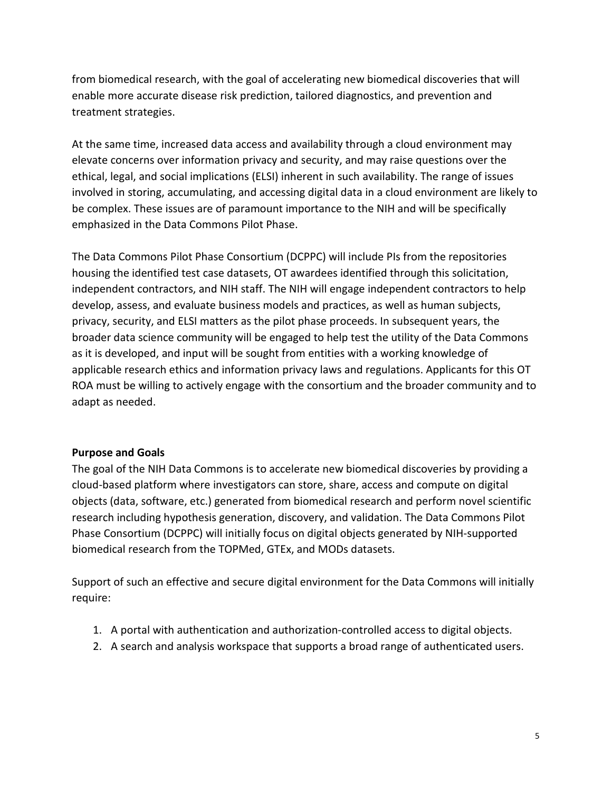from biomedical research, with the goal of accelerating new biomedical discoveries that will enable more accurate disease risk prediction, tailored diagnostics, and prevention and treatment strategies.

At the same time, increased data access and availability through a cloud environment may elevate concerns over information privacy and security, and may raise questions over the ethical, legal, and social implications (ELSI) inherent in such availability. The range of issues involved in storing, accumulating, and accessing digital data in a cloud environment are likely to be complex. These issues are of paramount importance to the NIH and will be specifically emphasized in the Data Commons Pilot Phase.

The Data Commons Pilot Phase Consortium (DCPPC) will include PIs from the repositories housing the identified test case datasets, OT awardees identified through this solicitation, independent contractors, and NIH staff. The NIH will engage independent contractors to help develop, assess, and evaluate business models and practices, as well as human subjects, privacy, security, and ELSI matters as the pilot phase proceeds. In subsequent years, the broader data science community will be engaged to help test the utility of the Data Commons as it is developed, and input will be sought from entities with a working knowledge of applicable research ethics and information privacy laws and regulations. Applicants for this OT ROA must be willing to actively engage with the consortium and the broader community and to adapt as needed.

#### **Purpose and Goals**

The goal of the NIH Data Commons is to accelerate new biomedical discoveries by providing a cloud-based platform where investigators can store, share, access and compute on digital objects (data, software, etc.) generated from biomedical research and perform novel scientific research including hypothesis generation, discovery, and validation. The Data Commons Pilot Phase Consortium (DCPPC) will initially focus on digital objects generated by NIH-supported biomedical research from the TOPMed, GTEx, and MODs datasets.

Support of such an effective and secure digital environment for the Data Commons will initially require:

- 1. A portal with authentication and authorization-controlled access to digital objects.
- 2. A search and analysis workspace that supports a broad range of authenticated users.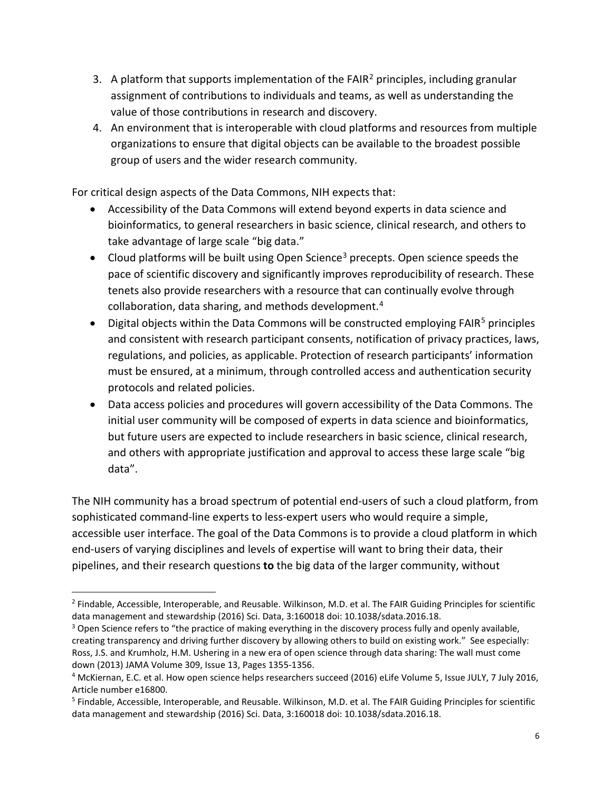- 3. A platform that supports implementation of the FAIR<sup>[2](#page-5-0)</sup> principles, including granular assignment of contributions to individuals and teams, as well as understanding the value of those contributions in research and discovery.
- 4. An environment that is interoperable with cloud platforms and resources from multiple organizations to ensure that digital objects can be available to the broadest possible group of users and the wider research community.

For critical design aspects of the Data Commons, NIH expects that:

- Accessibility of the Data Commons will extend beyond experts in data science and bioinformatics, to general researchers in basic science, clinical research, and others to take advantage of large scale "big data."
- Cloud platforms will be built using Open Science<sup>[3](#page-5-1)</sup> precepts. Open science speeds the pace of scientific discovery and significantly improves reproducibility of research. These tenets also provide researchers with a resource that can continually evolve through collaboration, data sharing, and methods development.[4](#page-5-2)
- Digital objects within the Data Commons will be constructed employing FAIR<sup>[5](#page-5-3)</sup> principles and consistent with research participant consents, notification of privacy practices, laws, regulations, and policies, as applicable. Protection of research participants' information must be ensured, at a minimum, through controlled access and authentication security protocols and related policies.
- Data access policies and procedures will govern accessibility of the Data Commons. The initial user community will be composed of experts in data science and bioinformatics, but future users are expected to include researchers in basic science, clinical research, and others with appropriate justification and approval to access these large scale "big data".

The NIH community has a broad spectrum of potential end-users of such a cloud platform, from sophisticated command-line experts to less-expert users who would require a simple, accessible user interface. The goal of the Data Commons is to provide a cloud platform in which end-users of varying disciplines and levels of expertise will want to bring their data, their pipelines, and their research questions **to** the big data of the larger community, without

1

<span id="page-5-0"></span><sup>&</sup>lt;sup>2</sup> Findable, Accessible, Interoperable, and Reusable. Wilkinson, M.D. et al. The FAIR Guiding Principles for scientific data management and stewardship (2016) Sci. Data, 3:160018 doi: 10.1038/sdata.2016.18.

<span id="page-5-1"></span><sup>&</sup>lt;sup>3</sup> Open Science refers to "the practice of making everything in the discovery process fully and openly available, creating transparency and driving further discovery by allowing others to build on existing work." See especially: Ross, J.S. and Krumholz, H.M. Ushering in a new era of open science through data sharing: The wall must come down (2013) JAMA Volume 309, Issue 13, Pages 1355-1356.

<span id="page-5-2"></span><sup>4</sup> McKiernan, E.C. et al. How open science helps researchers succeed (2016) eLife Volume 5, Issue JULY, 7 July 2016, Article number e16800.

<span id="page-5-3"></span><sup>5</sup> Findable, Accessible, Interoperable, and Reusable. Wilkinson, M.D. et al. The FAIR Guiding Principles for scientific data management and stewardship (2016) Sci. Data, 3:160018 doi: 10.1038/sdata.2016.18.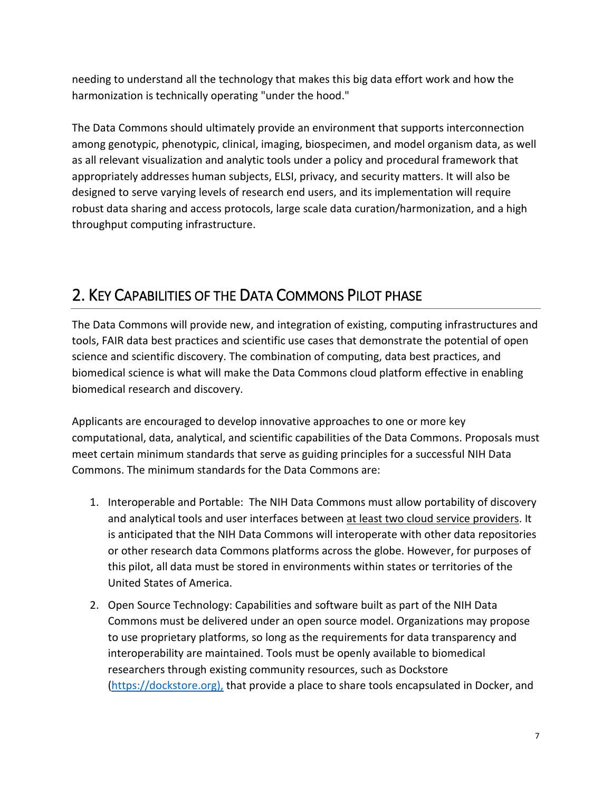needing to understand all the technology that makes this big data effort work and how the harmonization is technically operating "under the hood."

The Data Commons should ultimately provide an environment that supports interconnection among genotypic, phenotypic, clinical, imaging, biospecimen, and model organism data, as well as all relevant visualization and analytic tools under a policy and procedural framework that appropriately addresses human subjects, ELSI, privacy, and security matters. It will also be designed to serve varying levels of research end users, and its implementation will require robust data sharing and access protocols, large scale data curation/harmonization, and a high throughput computing infrastructure.

# 2. KEY CAPABILITIES OF THE DATA COMMONS PILOT PHASE

The Data Commons will provide new, and integration of existing, computing infrastructures and tools, FAIR data best practices and scientific use cases that demonstrate the potential of open science and scientific discovery. The combination of computing, data best practices, and biomedical science is what will make the Data Commons cloud platform effective in enabling biomedical research and discovery.

Applicants are encouraged to develop innovative approaches to one or more key computational, data, analytical, and scientific capabilities of the Data Commons. Proposals must meet certain minimum standards that serve as guiding principles for a successful NIH Data Commons. The minimum standards for the Data Commons are:

- 1. Interoperable and Portable: The NIH Data Commons must allow portability of discovery and analytical tools and user interfaces between at least two cloud service providers. It is anticipated that the NIH Data Commons will interoperate with other data repositories or other research data Commons platforms across the globe. However, for purposes of this pilot, all data must be stored in environments within states or territories of the United States of America.
- 2. Open Source Technology: Capabilities and software built as part of the NIH Data Commons must be delivered under an open source model. Organizations may propose to use proprietary platforms, so long as the requirements for data transparency and interoperability are maintained. Tools must be openly available to biomedical researchers through existing community resources, such as Dockstore [\(https://dockstore.org\),](https://dockstore.org)/) that provide a place to share tools encapsulated in Docker, and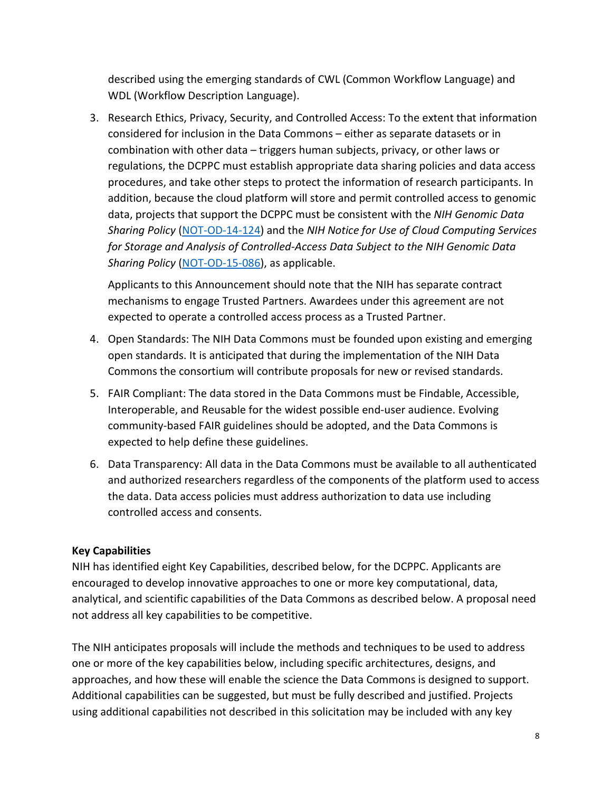described using the emerging standards of CWL (Common Workflow Language) and WDL (Workflow Description Language).

3. Research Ethics, Privacy, Security, and Controlled Access: To the extent that information considered for inclusion in the Data Commons – either as separate datasets or in combination with other data – triggers human subjects, privacy, or other laws or regulations, the DCPPC must establish appropriate data sharing policies and data access procedures, and take other steps to protect the information of research participants. In addition, because the cloud platform will store and permit controlled access to genomic data, projects that support the DCPPC must be consistent with the *NIH Genomic Data Sharing Policy* [\(NOT-OD-14-124\)](https://grants.nih.gov/grants/guide/notice-files/NOT-OD-14-124.html) and the *NIH Notice for Use of Cloud Computing Services for Storage and Analysis of Controlled-Access Data Subject to the NIH Genomic Data Sharing Policy* [\(NOT-OD-15-086\)](https://grants.nih.gov/grants/guide/notice-files/NOT-OD-15-086.html), as applicable.

Applicants to this Announcement should note that the NIH has separate contract mechanisms to engage Trusted Partners. Awardees under this agreement are not expected to operate a controlled access process as a Trusted Partner.

- 4. Open Standards: The NIH Data Commons must be founded upon existing and emerging open standards. It is anticipated that during the implementation of the NIH Data Commons the consortium will contribute proposals for new or revised standards.
- 5. FAIR Compliant: The data stored in the Data Commons must be Findable, Accessible, Interoperable, and Reusable for the widest possible end-user audience. Evolving community-based FAIR guidelines should be adopted, and the Data Commons is expected to help define these guidelines.
- 6. Data Transparency: All data in the Data Commons must be available to all authenticated and authorized researchers regardless of the components of the platform used to access the data. Data access policies must address authorization to data use including controlled access and consents.

### **Key Capabilities**

NIH has identified eight Key Capabilities, described below, for the DCPPC. Applicants are encouraged to develop innovative approaches to one or more key computational, data, analytical, and scientific capabilities of the Data Commons as described below. A proposal need not address all key capabilities to be competitive.

The NIH anticipates proposals will include the methods and techniques to be used to address one or more of the key capabilities below, including specific architectures, designs, and approaches, and how these will enable the science the Data Commons is designed to support. Additional capabilities can be suggested, but must be fully described and justified. Projects using additional capabilities not described in this solicitation may be included with any key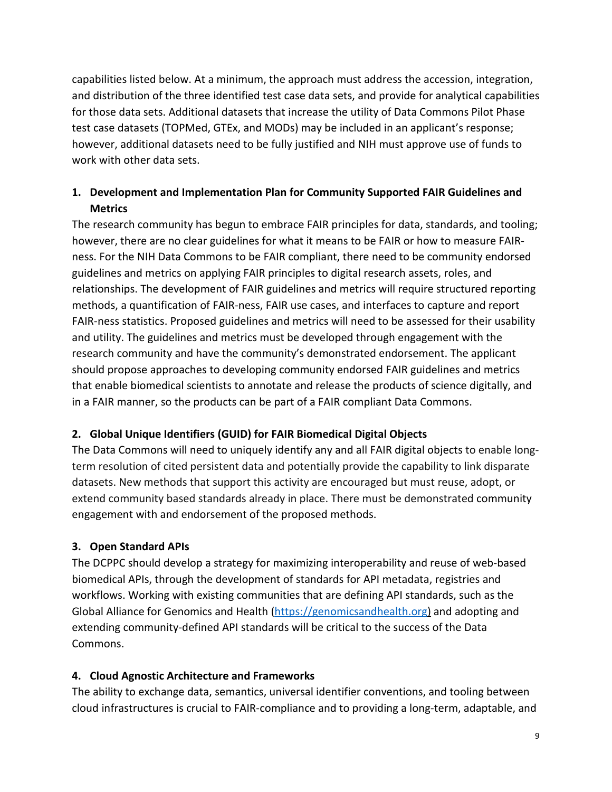capabilities listed below. At a minimum, the approach must address the accession, integration, and distribution of the three identified test case data sets, and provide for analytical capabilities for those data sets. Additional datasets that increase the utility of Data Commons Pilot Phase test case datasets (TOPMed, GTEx, and MODs) may be included in an applicant's response; however, additional datasets need to be fully justified and NIH must approve use of funds to work with other data sets.

# **1. Development and Implementation Plan for Community Supported FAIR Guidelines and Metrics**

The research community has begun to embrace FAIR principles for data, standards, and tooling; however, there are no clear guidelines for what it means to be FAIR or how to measure FAIRness. For the NIH Data Commons to be FAIR compliant, there need to be community endorsed guidelines and metrics on applying FAIR principles to digital research assets, roles, and relationships. The development of FAIR guidelines and metrics will require structured reporting methods, a quantification of FAIR-ness, FAIR use cases, and interfaces to capture and report FAIR-ness statistics. Proposed guidelines and metrics will need to be assessed for their usability and utility. The guidelines and metrics must be developed through engagement with the research community and have the community's demonstrated endorsement. The applicant should propose approaches to developing community endorsed FAIR guidelines and metrics that enable biomedical scientists to annotate and release the products of science digitally, and in a FAIR manner, so the products can be part of a FAIR compliant Data Commons.

### **2. Global Unique Identifiers (GUID) for FAIR Biomedical Digital Objects**

The Data Commons will need to uniquely identify any and all FAIR digital objects to enable longterm resolution of cited persistent data and potentially provide the capability to link disparate datasets. New methods that support this activity are encouraged but must reuse, adopt, or extend community based standards already in place. There must be demonstrated community engagement with and endorsement of the proposed methods.

### **3. Open Standard APIs**

The DCPPC should develop a strategy for maximizing interoperability and reuse of web-based biomedical APIs, through the development of standards for API metadata, registries and workflows. Working with existing communities that are defining API standards, such as the Global Alliance for Genomics and Health [\(https://genomicsandhealth.org\)](https://genomicsandhealth.org/) and adopting and extending community-defined API standards will be critical to the success of the Data Commons.

### **4. Cloud Agnostic Architecture and Frameworks**

The ability to exchange data, semantics, universal identifier conventions, and tooling between cloud infrastructures is crucial to FAIR-compliance and to providing a long-term, adaptable, and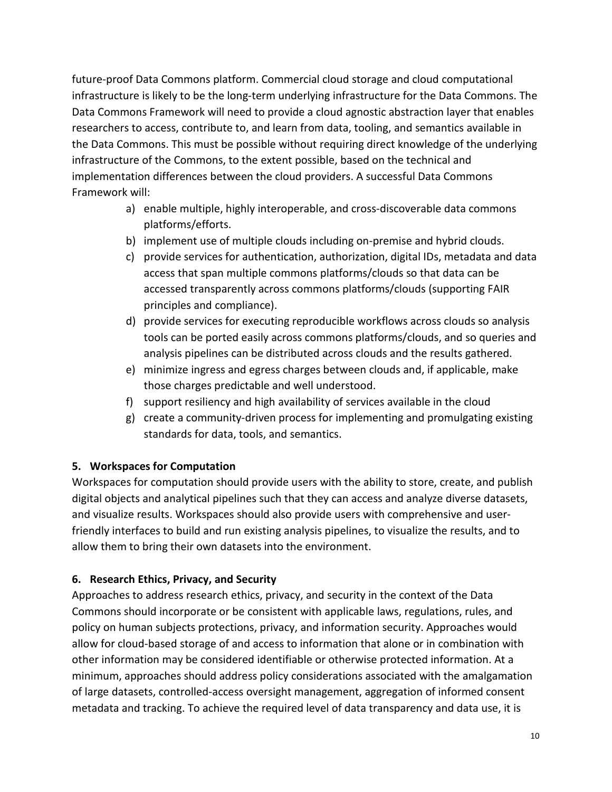future-proof Data Commons platform. Commercial cloud storage and cloud computational infrastructure is likely to be the long-term underlying infrastructure for the Data Commons. The Data Commons Framework will need to provide a cloud agnostic abstraction layer that enables researchers to access, contribute to, and learn from data, tooling, and semantics available in the Data Commons. This must be possible without requiring direct knowledge of the underlying infrastructure of the Commons, to the extent possible, based on the technical and implementation differences between the cloud providers. A successful Data Commons Framework will:

- a) enable multiple, highly interoperable, and cross-discoverable data commons platforms/efforts.
- b) implement use of multiple clouds including on-premise and hybrid clouds.
- c) provide services for authentication, authorization, digital IDs, metadata and data access that span multiple commons platforms/clouds so that data can be accessed transparently across commons platforms/clouds (supporting FAIR principles and compliance).
- d) provide services for executing reproducible workflows across clouds so analysis tools can be ported easily across commons platforms/clouds, and so queries and analysis pipelines can be distributed across clouds and the results gathered.
- e) minimize ingress and egress charges between clouds and, if applicable, make those charges predictable and well understood.
- f) support resiliency and high availability of services available in the cloud
- g) create a community-driven process for implementing and promulgating existing standards for data, tools, and semantics.

#### **5. Workspaces for Computation**

Workspaces for computation should provide users with the ability to store, create, and publish digital objects and analytical pipelines such that they can access and analyze diverse datasets, and visualize results. Workspaces should also provide users with comprehensive and userfriendly interfaces to build and run existing analysis pipelines, to visualize the results, and to allow them to bring their own datasets into the environment.

#### **6. Research Ethics, Privacy, and Security**

Approaches to address research ethics, privacy, and security in the context of the Data Commons should incorporate or be consistent with applicable laws, regulations, rules, and policy on human subjects protections, privacy, and information security. Approaches would allow for cloud-based storage of and access to information that alone or in combination with other information may be considered identifiable or otherwise protected information. At a minimum, approaches should address policy considerations associated with the amalgamation of large datasets, controlled-access oversight management, aggregation of informed consent metadata and tracking. To achieve the required level of data transparency and data use, it is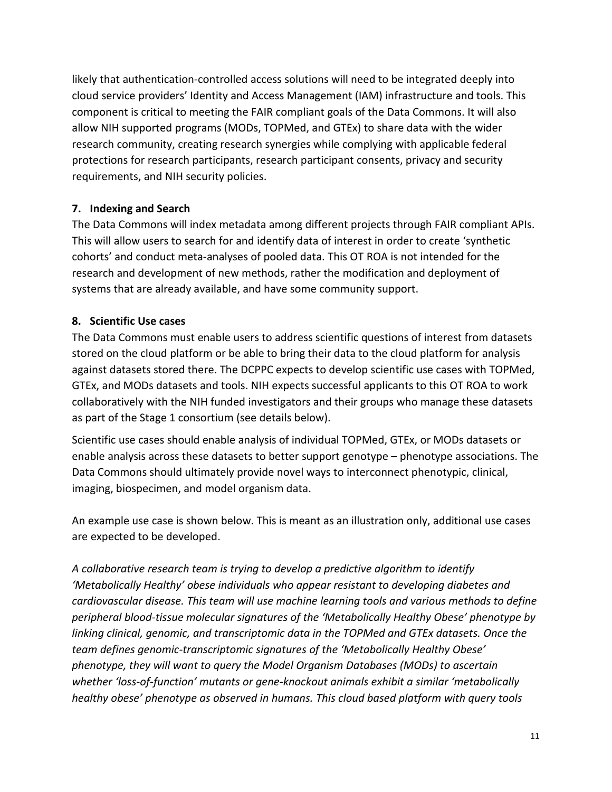likely that authentication-controlled access solutions will need to be integrated deeply into cloud service providers' Identity and Access Management (IAM) infrastructure and tools. This component is critical to meeting the FAIR compliant goals of the Data Commons. It will also allow NIH supported programs (MODs, TOPMed, and GTEx) to share data with the wider research community, creating research synergies while complying with applicable federal protections for research participants, research participant consents, privacy and security requirements, and NIH security policies.

#### **7. Indexing and Search**

The Data Commons will index metadata among different projects through FAIR compliant APIs. This will allow users to search for and identify data of interest in order to create 'synthetic cohorts' and conduct meta-analyses of pooled data. This OT ROA is not intended for the research and development of new methods, rather the modification and deployment of systems that are already available, and have some community support.

#### **8. Scientific Use cases**

The Data Commons must enable users to address scientific questions of interest from datasets stored on the cloud platform or be able to bring their data to the cloud platform for analysis against datasets stored there. The DCPPC expects to develop scientific use cases with TOPMed, GTEx, and MODs datasets and tools. NIH expects successful applicants to this OT ROA to work collaboratively with the NIH funded investigators and their groups who manage these datasets as part of the Stage 1 consortium (see details below).

Scientific use cases should enable analysis of individual TOPMed, GTEx, or MODs datasets or enable analysis across these datasets to better support genotype – phenotype associations. The Data Commons should ultimately provide novel ways to interconnect phenotypic, clinical, imaging, biospecimen, and model organism data.

An example use case is shown below. This is meant as an illustration only, additional use cases are expected to be developed.

*A collaborative research team is trying to develop a predictive algorithm to identify 'Metabolically Healthy' obese individuals who appear resistant to developing diabetes and cardiovascular disease. This team will use machine learning tools and various methods to define peripheral blood-tissue molecular signatures of the 'Metabolically Healthy Obese' phenotype by linking clinical, genomic, and transcriptomic data in the TOPMed and GTEx datasets. Once the team defines genomic-transcriptomic signatures of the 'Metabolically Healthy Obese' phenotype, they will want to query the Model Organism Databases (MODs) to ascertain whether 'loss-of-function' mutants or gene-knockout animals exhibit a similar 'metabolically healthy obese' phenotype as observed in humans. This cloud based platform with query tools*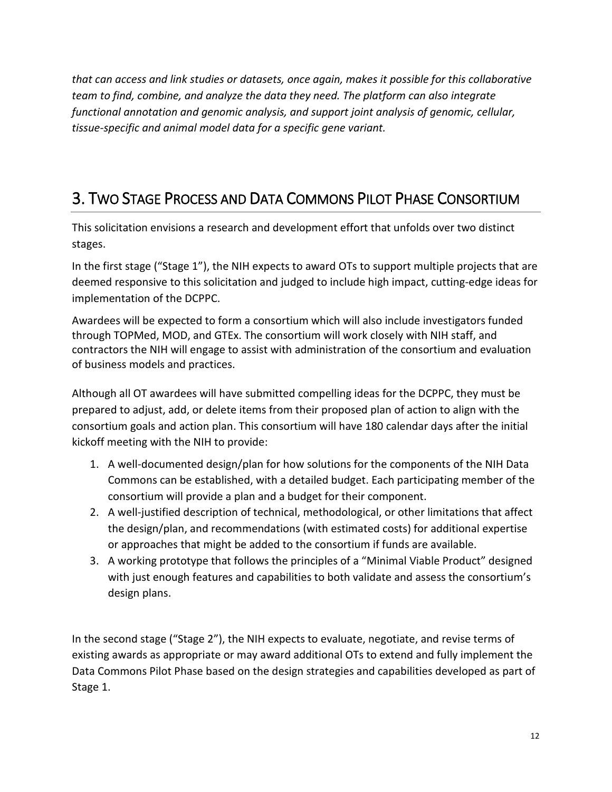*that can access and link studies or datasets, once again, makes it possible for this collaborative team to find, combine, and analyze the data they need. The platform can also integrate functional annotation and genomic analysis, and support joint analysis of genomic, cellular, tissue-specific and animal model data for a specific gene variant.*

# 3. TWO STAGE PROCESS AND DATA COMMONS PILOT PHASE CONSORTIUM

This solicitation envisions a research and development effort that unfolds over two distinct stages.

In the first stage ("Stage 1"), the NIH expects to award OTs to support multiple projects that are deemed responsive to this solicitation and judged to include high impact, cutting-edge ideas for implementation of the DCPPC.

Awardees will be expected to form a consortium which will also include investigators funded through TOPMed, MOD, and GTEx. The consortium will work closely with NIH staff, and contractors the NIH will engage to assist with administration of the consortium and evaluation of business models and practices.

Although all OT awardees will have submitted compelling ideas for the DCPPC, they must be prepared to adjust, add, or delete items from their proposed plan of action to align with the consortium goals and action plan. This consortium will have 180 calendar days after the initial kickoff meeting with the NIH to provide:

- 1. A well-documented design/plan for how solutions for the components of the NIH Data Commons can be established, with a detailed budget. Each participating member of the consortium will provide a plan and a budget for their component.
- 2. A well-justified description of technical, methodological, or other limitations that affect the design/plan, and recommendations (with estimated costs) for additional expertise or approaches that might be added to the consortium if funds are available.
- 3. A working prototype that follows the principles of a "Minimal Viable Product" designed with just enough features and capabilities to both validate and assess the consortium's design plans.

In the second stage ("Stage 2"), the NIH expects to evaluate, negotiate, and revise terms of existing awards as appropriate or may award additional OTs to extend and fully implement the Data Commons Pilot Phase based on the design strategies and capabilities developed as part of Stage 1.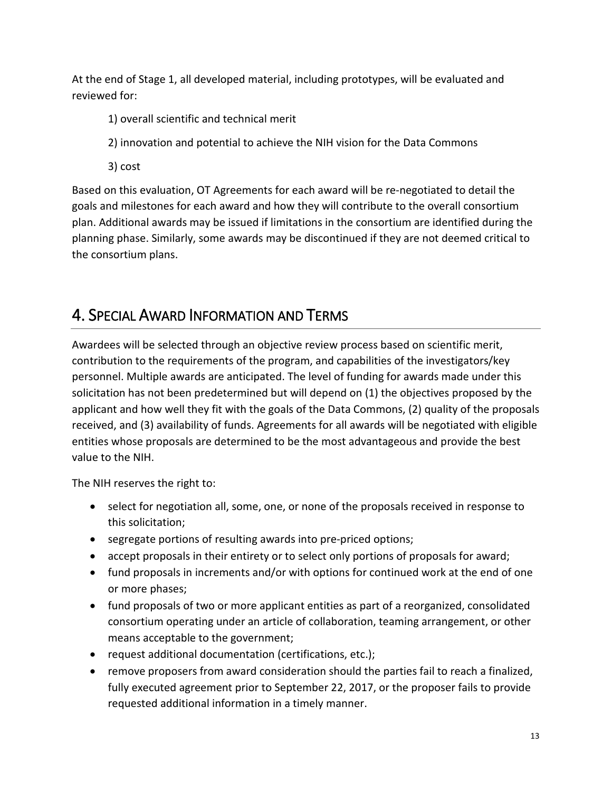At the end of Stage 1, all developed material, including prototypes, will be evaluated and reviewed for:

- 1) overall scientific and technical merit
- 2) innovation and potential to achieve the NIH vision for the Data Commons
- 3) cost

Based on this evaluation, OT Agreements for each award will be re-negotiated to detail the goals and milestones for each award and how they will contribute to the overall consortium plan. Additional awards may be issued if limitations in the consortium are identified during the planning phase. Similarly, some awards may be discontinued if they are not deemed critical to the consortium plans.

# 4. SPECIAL AWARD INFORMATION AND TERMS

Awardees will be selected through an objective review process based on scientific merit, contribution to the requirements of the program, and capabilities of the investigators/key personnel. Multiple awards are anticipated. The level of funding for awards made under this solicitation has not been predetermined but will depend on (1) the objectives proposed by the applicant and how well they fit with the goals of the Data Commons, (2) quality of the proposals received, and (3) availability of funds. Agreements for all awards will be negotiated with eligible entities whose proposals are determined to be the most advantageous and provide the best value to the NIH.

The NIH reserves the right to:

- select for negotiation all, some, one, or none of the proposals received in response to this solicitation;
- segregate portions of resulting awards into pre-priced options;
- accept proposals in their entirety or to select only portions of proposals for award;
- fund proposals in increments and/or with options for continued work at the end of one or more phases;
- fund proposals of two or more applicant entities as part of a reorganized, consolidated consortium operating under an article of collaboration, teaming arrangement, or other means acceptable to the government;
- request additional documentation (certifications, etc.);
- remove proposers from award consideration should the parties fail to reach a finalized, fully executed agreement prior to September 22, 2017, or the proposer fails to provide requested additional information in a timely manner.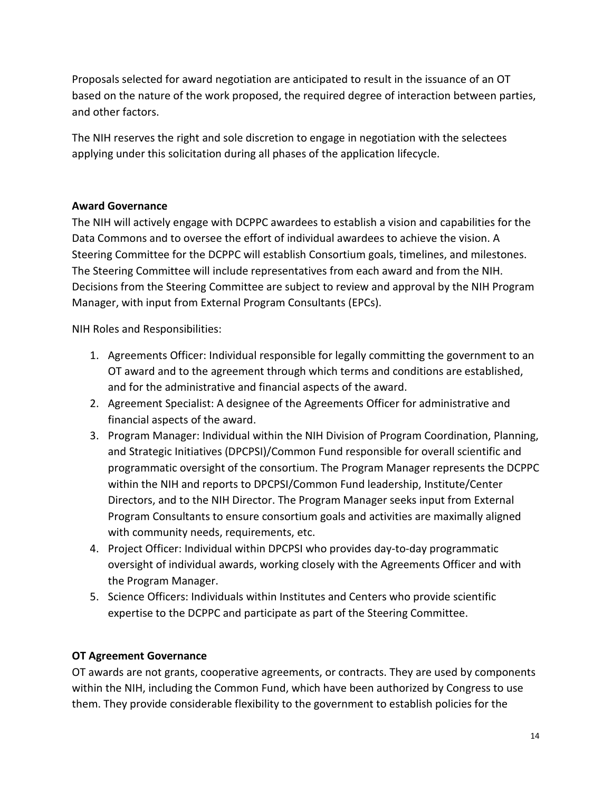Proposals selected for award negotiation are anticipated to result in the issuance of an OT based on the nature of the work proposed, the required degree of interaction between parties, and other factors.

The NIH reserves the right and sole discretion to engage in negotiation with the selectees applying under this solicitation during all phases of the application lifecycle.

#### **Award Governance**

The NIH will actively engage with DCPPC awardees to establish a vision and capabilities for the Data Commons and to oversee the effort of individual awardees to achieve the vision. A Steering Committee for the DCPPC will establish Consortium goals, timelines, and milestones. The Steering Committee will include representatives from each award and from the NIH. Decisions from the Steering Committee are subject to review and approval by the NIH Program Manager, with input from External Program Consultants (EPCs).

NIH Roles and Responsibilities:

- 1. Agreements Officer: Individual responsible for legally committing the government to an OT award and to the agreement through which terms and conditions are established, and for the administrative and financial aspects of the award.
- 2. Agreement Specialist: A designee of the Agreements Officer for administrative and financial aspects of the award.
- 3. Program Manager: Individual within the NIH Division of Program Coordination, Planning, and Strategic Initiatives (DPCPSI)/Common Fund responsible for overall scientific and programmatic oversight of the consortium. The Program Manager represents the DCPPC within the NIH and reports to DPCPSI/Common Fund leadership, Institute/Center Directors, and to the NIH Director. The Program Manager seeks input from External Program Consultants to ensure consortium goals and activities are maximally aligned with community needs, requirements, etc.
- 4. Project Officer: Individual within DPCPSI who provides day-to-day programmatic oversight of individual awards, working closely with the Agreements Officer and with the Program Manager.
- 5. Science Officers: Individuals within Institutes and Centers who provide scientific expertise to the DCPPC and participate as part of the Steering Committee.

#### **OT Agreement Governance**

OT awards are not grants, cooperative agreements, or contracts. They are used by components within the NIH, including the Common Fund, which have been authorized by Congress to use them. They provide considerable flexibility to the government to establish policies for the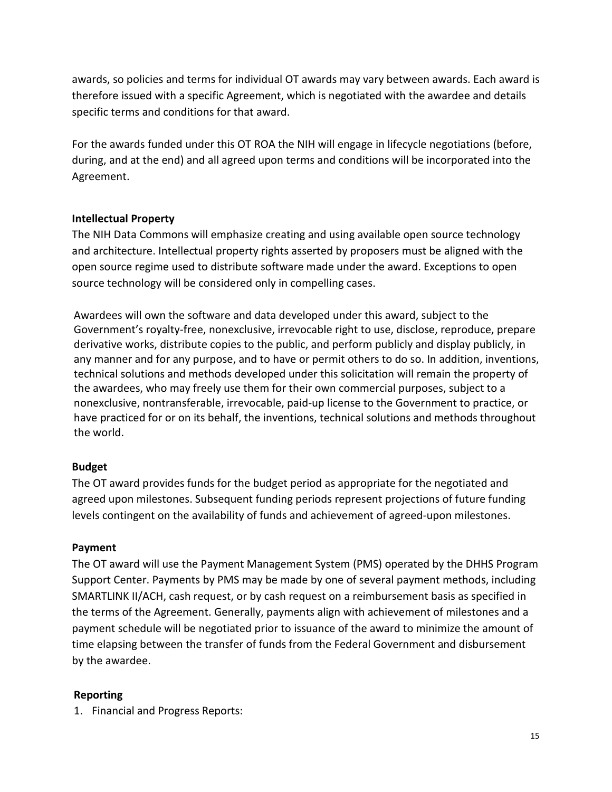awards, so policies and terms for individual OT awards may vary between awards. Each award is therefore issued with a specific Agreement, which is negotiated with the awardee and details specific terms and conditions for that award.

For the awards funded under this OT ROA the NIH will engage in lifecycle negotiations (before, during, and at the end) and all agreed upon terms and conditions will be incorporated into the Agreement.

#### **Intellectual Property**

The NIH Data Commons will emphasize creating and using available open source technology and architecture. Intellectual property rights asserted by proposers must be aligned with the open source regime used to distribute software made under the award. Exceptions to open source technology will be considered only in compelling cases.

Awardees will own the software and data developed under this award, subject to the Government's royalty-free, nonexclusive, irrevocable right to use, disclose, reproduce, prepare derivative works, distribute copies to the public, and perform publicly and display publicly, in any manner and for any purpose, and to have or permit others to do so. In addition, inventions, technical solutions and methods developed under this solicitation will remain the property of the awardees, who may freely use them for their own commercial purposes, subject to a nonexclusive, nontransferable, irrevocable, paid-up license to the Government to practice, or have practiced for or on its behalf, the inventions, technical solutions and methods throughout the world.

#### **Budget**

The OT award provides funds for the budget period as appropriate for the negotiated and agreed upon milestones. Subsequent funding periods represent projections of future funding levels contingent on the availability of funds and achievement of agreed-upon milestones.

#### **Payment**

The OT award will use the Payment Management System (PMS) operated by the DHHS Program Support Center. Payments by PMS may be made by one of several payment methods, including SMARTLINK II/ACH, cash request, or by cash request on a reimbursement basis as specified in the terms of the Agreement. Generally, payments align with achievement of milestones and a payment schedule will be negotiated prior to issuance of the award to minimize the amount of time elapsing between the transfer of funds from the Federal Government and disbursement by the awardee.

#### **Reporting**

1. Financial and Progress Reports: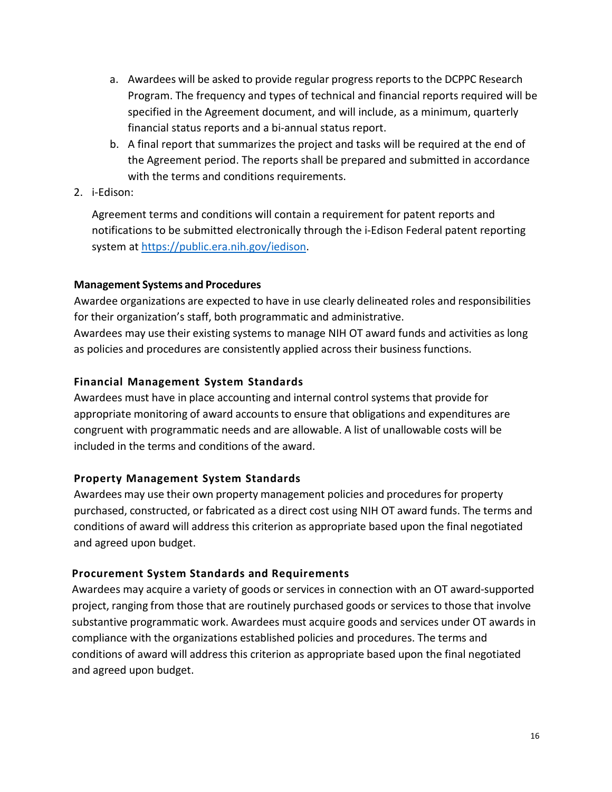- a. Awardees will be asked to provide regular progress reports to the DCPPC Research Program. The frequency and types of technical and financial reports required will be specified in the Agreement document, and will include, as a minimum, quarterly financial status reports and a bi-annual status report.
- b. A final report that summarizes the project and tasks will be required at the end of the Agreement period. The reports shall be prepared and submitted in accordance with the terms and conditions requirements.
- 2. i-Edison:

Agreement terms and conditions will contain a requirement for patent reports and notifications to be submitted electronically through the i-Edison Federal patent reporting system at [https://public.era.nih.gov/iedison.](https://public.era.nih.gov/iedison)

#### **Management Systems and Procedures**

Awardee organizations are expected to have in use clearly delineated roles and responsibilities for their organization's staff, both programmatic and administrative. Awardees may use their existing systems to manage NIH OT award funds and activities as long as policies and procedures are consistently applied across their business functions.

#### **Financial Management System Standards**

Awardees must have in place accounting and internal control systemsthat provide for appropriate monitoring of award accounts to ensure that obligations and expenditures are congruent with programmatic needs and are allowable. A list of unallowable costs will be included in the terms and conditions of the award.

### **Property Management System Standards**

Awardees may use their own property management policies and procedures for property purchased, constructed, or fabricated as a direct cost using NIH OT award funds. The terms and conditions of award will address this criterion as appropriate based upon the final negotiated and agreed upon budget.

### **Procurement System Standards and Requirements**

Awardees may acquire a variety of goods or services in connection with an OT award-supported project, ranging from those that are routinely purchased goods or services to those that involve substantive programmatic work. Awardees must acquire goods and services under OT awards in compliance with the organizations established policies and procedures. The terms and conditions of award will address this criterion as appropriate based upon the final negotiated and agreed upon budget.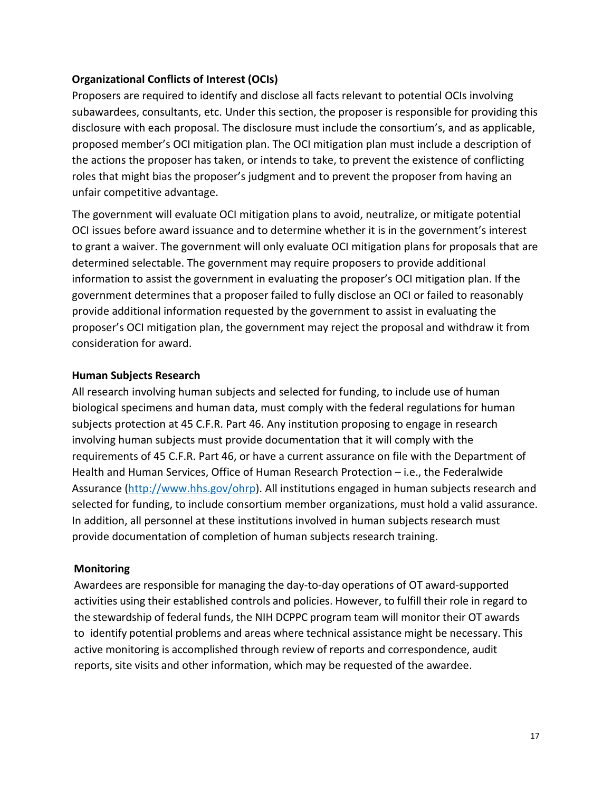#### **Organizational Conflicts of Interest (OCIs)**

Proposers are required to identify and disclose all facts relevant to potential OCIs involving subawardees, consultants, etc. Under this section, the proposer is responsible for providing this disclosure with each proposal. The disclosure must include the consortium's, and as applicable, proposed member's OCI mitigation plan. The OCI mitigation plan must include a description of the actions the proposer has taken, or intends to take, to prevent the existence of conflicting roles that might bias the proposer's judgment and to prevent the proposer from having an unfair competitive advantage.

The government will evaluate OCI mitigation plans to avoid, neutralize, or mitigate potential OCI issues before award issuance and to determine whether it is in the government's interest to grant a waiver. The government will only evaluate OCI mitigation plans for proposals that are determined selectable. The government may require proposers to provide additional information to assist the government in evaluating the proposer's OCI mitigation plan. If the government determines that a proposer failed to fully disclose an OCI or failed to reasonably provide additional information requested by the government to assist in evaluating the proposer's OCI mitigation plan, the government may reject the proposal and withdraw it from consideration for award.

#### **Human Subjects Research**

All research involving human subjects and selected for funding, to include use of human biological specimens and human data, must comply with the federal regulations for human subjects protection at 45 C.F.R. Part 46. Any institution proposing to engage in research involving human subjects must provide documentation that it will comply with the requirements of 45 C.F.R. Part 46, or have a current assurance on file with the Department of Health and Human Services, Office of Human Research Protection – i.e., the Federalwide Assurance [\(http://www.hhs.gov/ohrp\)](http://www.hhs.gov/ohrp). All institutions engaged in human subjects research and selected for funding, to include consortium member organizations, must hold a valid assurance. In addition, all personnel at these institutions involved in human subjects research must provide documentation of completion of human subjects research training.

#### **Monitoring**

Awardees are responsible for managing the day-to-day operations of OT award-supported activities using their established controls and policies. However, to fulfill their role in regard to the stewardship of federal funds, the NIH DCPPC program team will monitor their OT awards to identify potential problems and areas where technical assistance might be necessary. This active monitoring is accomplished through review of reports and correspondence, audit reports, site visits and other information, which may be requested of the awardee.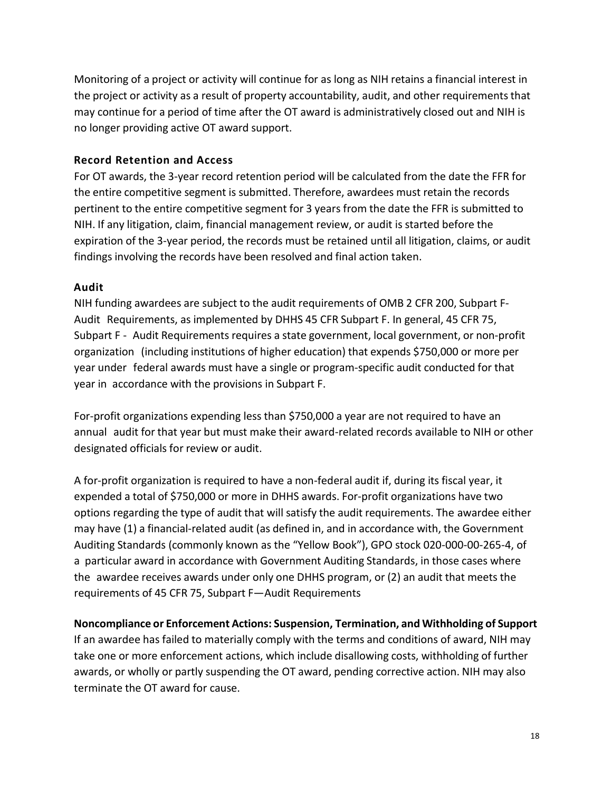Monitoring of a project or activity will continue for as long as NIH retains a financial interest in the project or activity as a result of property accountability, audit, and other requirements that may continue for a period of time after the OT award is administratively closed out and NIH is no longer providing active OT award support.

#### **Record Retention and Access**

For OT awards, the 3-year record retention period will be calculated from the date the FFR for the entire competitive segment is submitted. Therefore, awardees must retain the records pertinent to the entire competitive segment for 3 years from the date the FFR is submitted to NIH. If any litigation, claim, financial management review, or audit is started before the expiration of the 3-year period, the records must be retained until all litigation, claims, or audit findings involving the records have been resolved and final action taken.

#### **Audit**

NIH funding awardees are subject to the audit requirements of OMB 2 CFR 200, Subpart F-Audit Requirements, as implemented by DHHS 45 CFR Subpart F. In general, 45 CFR 75, Subpart F - Audit Requirements requires a state government, local government, or non-profit organization (including institutions of higher education) that expends \$750,000 or more per year under federal awards must have a single or program-specific audit conducted for that year in accordance with the provisions in Subpart F.

For-profit organizations expending less than \$750,000 a year are not required to have an annual audit for that year but must make their award-related records available to NIH or other designated officials for review or audit.

A for-profit organization is required to have a non-federal audit if, during its fiscal year, it expended a total of \$750,000 or more in DHHS awards. For-profit organizations have two options regarding the type of audit that will satisfy the audit requirements. The awardee either may have (1) a financial-related audit (as defined in, and in accordance with, the Government Auditing Standards (commonly known as the "Yellow Book"), GPO stock 020-000-00-265-4, of a particular award in accordance with Government Auditing Standards, in those cases where the awardee receives awards under only one DHHS program, or (2) an audit that meets the requirements of 45 CFR 75, Subpart F—Audit Requirements

### **Noncompliance or Enforcement Actions: Suspension, Termination, and Withholding of Support**

If an awardee has failed to materially comply with the terms and conditions of award, NIH may take one or more enforcement actions, which include disallowing costs, withholding of further awards, or wholly or partly suspending the OT award, pending corrective action. NIH may also terminate the OT award for cause.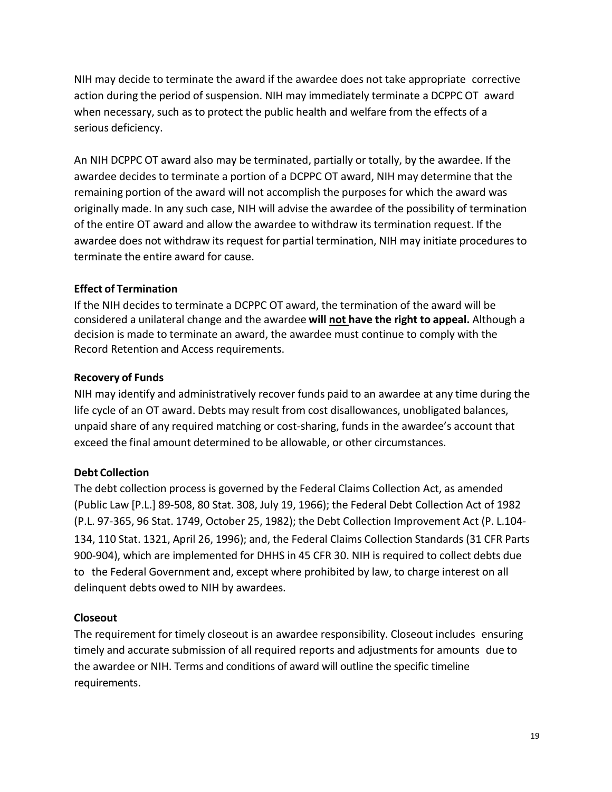NIH may decide to terminate the award if the awardee does not take appropriate corrective action during the period of suspension. NIH may immediately terminate a DCPPC OT award when necessary, such as to protect the public health and welfare from the effects of a serious deficiency.

An NIH DCPPC OT award also may be terminated, partially or totally, by the awardee. If the awardee decides to terminate a portion of a DCPPC OT award, NIH may determine that the remaining portion of the award will not accomplish the purposes for which the award was originally made. In any such case, NIH will advise the awardee of the possibility of termination of the entire OT award and allow the awardee to withdraw its termination request. If the awardee does not withdraw its request for partial termination, NIH may initiate proceduresto terminate the entire award for cause.

#### **Effect of Termination**

If the NIH decides to terminate a DCPPC OT award, the termination of the award will be considered a unilateral change and the awardee **will not have the right to appeal.** Although a decision is made to terminate an award, the awardee must continue to comply with the Record Retention and Access requirements.

#### **Recovery of Funds**

NIH may identify and administratively recover funds paid to an awardee at any time during the life cycle of an OT award. Debts may result from cost disallowances, unobligated balances, unpaid share of any required matching or cost-sharing, funds in the awardee's account that exceed the final amount determined to be allowable, or other circumstances.

### **Debt Collection**

The debt collection process is governed by the Federal Claims Collection Act, as amended (Public Law [P.L.] 89-508, 80 Stat. 308, July 19, 1966); the Federal Debt Collection Act of 1982 (P.L. 97-365, 96 Stat. 1749, October 25, 1982); the Debt Collection Improvement Act (P. L.104- 134, 110 Stat. 1321, April 26, 1996); and, the Federal Claims Collection Standards (31 CFR Parts 900-904), which are implemented for DHHS in 45 CFR 30. NIH is required to collect debts due to the Federal Government and, except where prohibited by law, to charge interest on all delinquent debts owed to NIH by awardees.

#### **Closeout**

The requirement for timely closeout is an awardee responsibility. Closeout includes ensuring timely and accurate submission of all required reports and adjustments for amounts due to the awardee or NIH. Terms and conditions of award will outline the specific timeline requirements.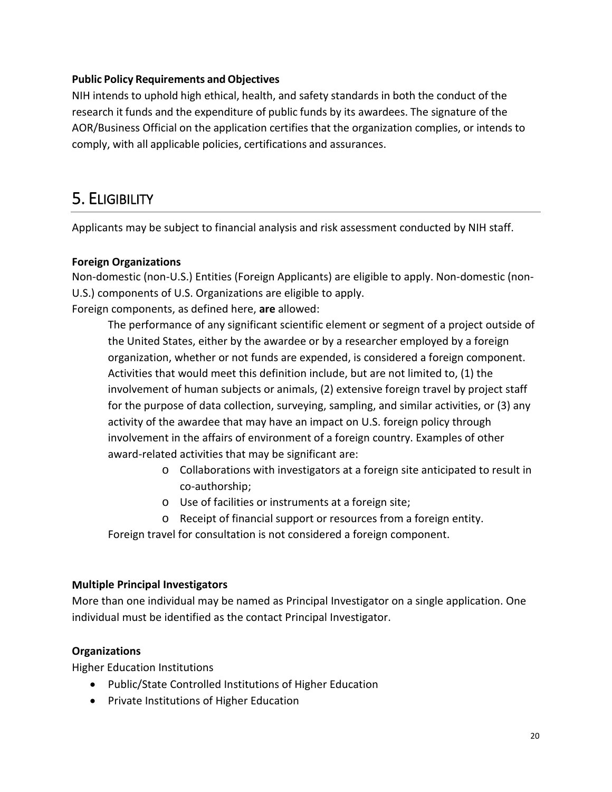#### **Public Policy Requirements andObjectives**

NIH intends to uphold high ethical, health, and safety standards in both the conduct of the research it funds and the expenditure of public funds by its awardees. The signature of the AOR/Business Official on the application certifies that the organization complies, or intends to comply, with all applicable policies, certifications and assurances.

# 5. ELIGIBILITY

Applicants may be subject to financial analysis and risk assessment conducted by NIH staff.

#### **Foreign Organizations**

Non-domestic (non-U.S.) Entities (Foreign Applicants) are eligible to apply. Non-domestic (non-U.S.) components of U.S. Organizations are eligible to apply. Foreign components, as defined here, **are** allowed:

The performance of any significant scientific element or segment of a project outside of the United States, either by the awardee or by a researcher employed by a foreign organization, whether or not funds are expended, is considered a foreign component. Activities that would meet this definition include, but are not limited to, (1) the involvement of human subjects or animals, (2) extensive foreign travel by project staff for the purpose of data collection, surveying, sampling, and similar activities, or (3) any activity of the awardee that may have an impact on U.S. foreign policy through involvement in the affairs of environment of a foreign country. Examples of other award-related activities that may be significant are:

- o Collaborations with investigators at a foreign site anticipated to result in co-authorship;
- o Use of facilities or instruments at a foreign site;
- o Receipt of financial support or resources from a foreign entity.

Foreign travel for consultation is not considered a foreign component.

#### **Multiple Principal Investigators**

More than one individual may be named as Principal Investigator on a single application. One individual must be identified as the contact Principal Investigator.

#### **Organizations**

Higher Education Institutions

- Public/State Controlled Institutions of Higher Education
- Private Institutions of Higher Education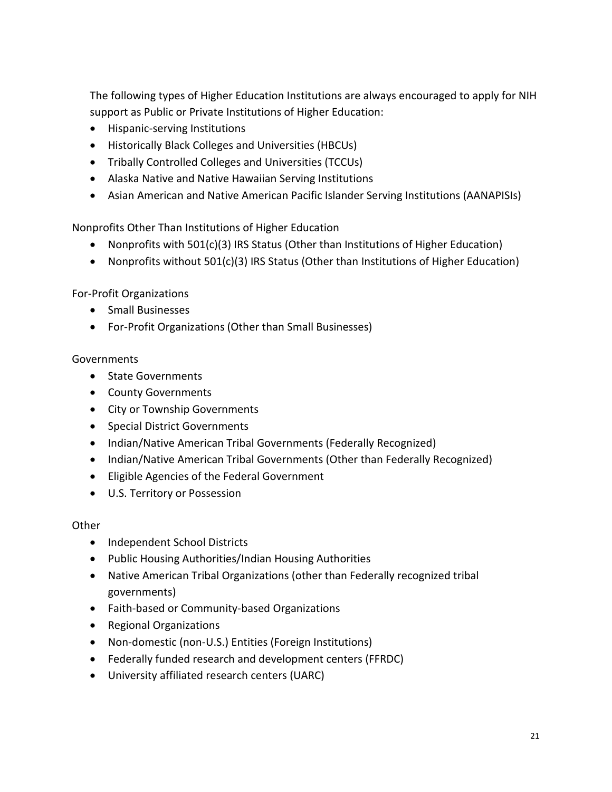The following types of Higher Education Institutions are always encouraged to apply for NIH support as Public or Private Institutions of Higher Education:

- Hispanic-serving Institutions
- Historically Black Colleges and Universities (HBCUs)
- Tribally Controlled Colleges and Universities (TCCUs)
- Alaska Native and Native Hawaiian Serving Institutions
- Asian American and Native American Pacific Islander Serving Institutions (AANAPISIs)

Nonprofits Other Than Institutions of Higher Education

- Nonprofits with 501(c)(3) IRS Status (Other than Institutions of Higher Education)
- Nonprofits without 501(c)(3) IRS Status (Other than Institutions of Higher Education)

For-Profit Organizations

- Small Businesses
- For-Profit Organizations (Other than Small Businesses)

#### **Governments**

- State Governments
- County Governments
- City or Township Governments
- Special District Governments
- Indian/Native American Tribal Governments (Federally Recognized)
- Indian/Native American Tribal Governments (Other than Federally Recognized)
- Eligible Agencies of the Federal Government
- U.S. Territory or Possession

#### Other

- Independent School Districts
- Public Housing Authorities/Indian Housing Authorities
- Native American Tribal Organizations (other than Federally recognized tribal governments)
- Faith-based or Community-based Organizations
- Regional Organizations
- Non-domestic (non-U.S.) Entities (Foreign Institutions)
- Federally funded research and development centers (FFRDC)
- University affiliated research centers (UARC)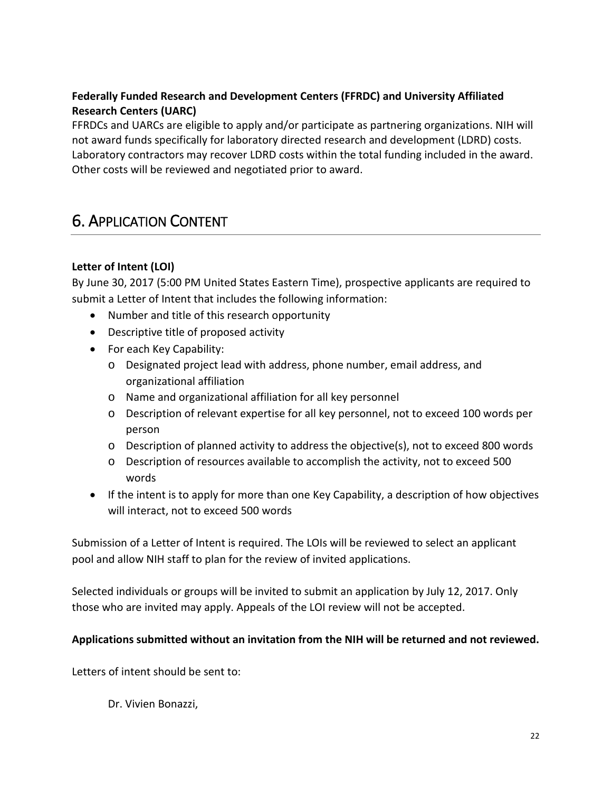## **Federally Funded Research and Development Centers (FFRDC) and University Affiliated Research Centers (UARC)**

FFRDCs and UARCs are eligible to apply and/or participate as partnering organizations. NIH will not award funds specifically for laboratory directed research and development (LDRD) costs. Laboratory contractors may recover LDRD costs within the total funding included in the award. Other costs will be reviewed and negotiated prior to award.

# 6. APPLICATION CONTENT

#### **Letter of Intent (LOI)**

By June 30, 2017 (5:00 PM United States Eastern Time), prospective applicants are required to submit a Letter of Intent that includes the following information:

- Number and title of this research opportunity
- Descriptive title of proposed activity
- For each Key Capability:
	- o Designated project lead with address, phone number, email address, and organizational affiliation
	- o Name and organizational affiliation for all key personnel
	- o Description of relevant expertise for all key personnel, not to exceed 100 words per person
	- o Description of planned activity to address the objective(s), not to exceed 800 words
	- o Description of resources available to accomplish the activity, not to exceed 500 words
- If the intent is to apply for more than one Key Capability, a description of how objectives will interact, not to exceed 500 words

Submission of a Letter of Intent is required. The LOIs will be reviewed to select an applicant pool and allow NIH staff to plan for the review of invited applications.

Selected individuals or groups will be invited to submit an application by July 12, 2017. Only those who are invited may apply. Appeals of the LOI review will not be accepted.

#### **Applications submitted without an invitation from the NIH will be returned and not reviewed.**

Letters of intent should be sent to:

Dr. Vivien Bonazzi,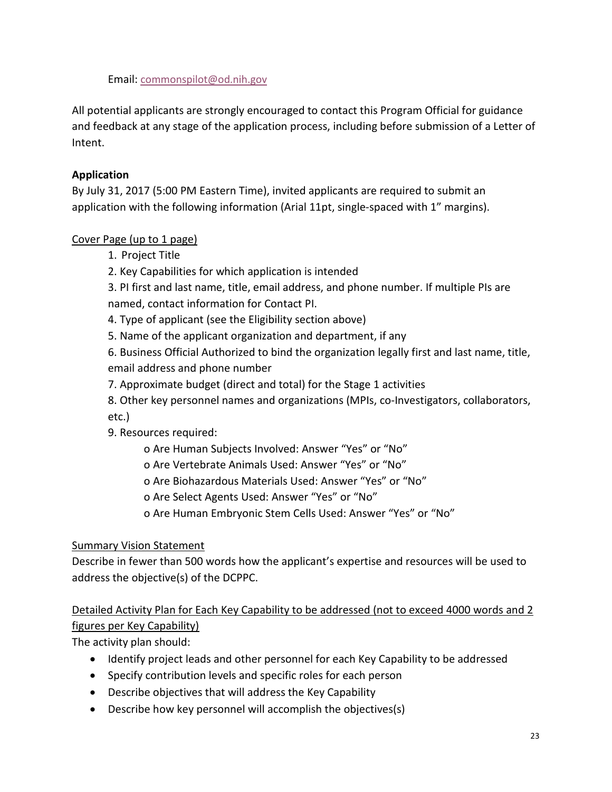Email: [commonspilot@od.nih.gov](mailto:commonspilot@od.nih.gov)

All potential applicants are strongly encouraged to contact this Program Official for guidance and feedback at any stage of the application process, including before submission of a Letter of Intent.

## **Application**

By July 31, 2017 (5:00 PM Eastern Time), invited applicants are required to submit an application with the following information (Arial 11pt, single-spaced with 1" margins).

# Cover Page (up to 1 page)

- 1. Project Title
- 2. Key Capabilities for which application is intended

3. PI first and last name, title, email address, and phone number. If multiple PIs are named, contact information for Contact PI.

- 4. Type of applicant (see the Eligibility section above)
- 5. Name of the applicant organization and department, if any

6. Business Official Authorized to bind the organization legally first and last name, title, email address and phone number

7. Approximate budget (direct and total) for the Stage 1 activities

8. Other key personnel names and organizations (MPIs, co-Investigators, collaborators, etc.)

- 9. Resources required:
	- o Are Human Subjects Involved: Answer "Yes" or "No"
	- o Are Vertebrate Animals Used: Answer "Yes" or "No"
	- o Are Biohazardous Materials Used: Answer "Yes" or "No"
	- o Are Select Agents Used: Answer "Yes" or "No"
	- o Are Human Embryonic Stem Cells Used: Answer "Yes" or "No"

### Summary Vision Statement

Describe in fewer than 500 words how the applicant's expertise and resources will be used to address the objective(s) of the DCPPC.

# Detailed Activity Plan for Each Key Capability to be addressed (not to exceed 4000 words and 2 figures per Key Capability)

The activity plan should:

- Identify project leads and other personnel for each Key Capability to be addressed
- Specify contribution levels and specific roles for each person
- Describe objectives that will address the Key Capability
- Describe how key personnel will accomplish the objectives(s)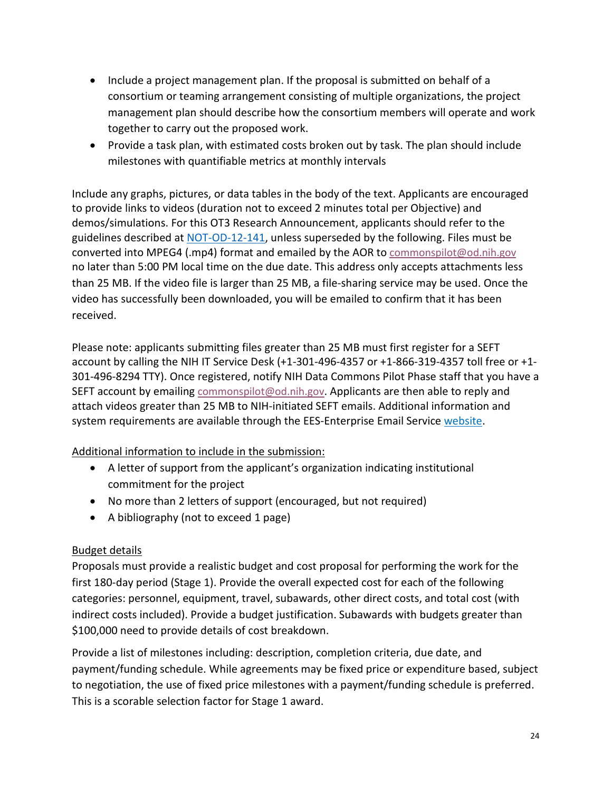- Include a project management plan. If the proposal is submitted on behalf of a consortium or teaming arrangement consisting of multiple organizations, the project management plan should describe how the consortium members will operate and work together to carry out the proposed work.
- Provide a task plan, with estimated costs broken out by task. The plan should include milestones with quantifiable metrics at monthly intervals

Include any graphs, pictures, or data tables in the body of the text. Applicants are encouraged to provide links to videos (duration not to exceed 2 minutes total per Objective) and demos/simulations. For this OT3 Research Announcement, applicants should refer to the guidelines described at [NOT-OD-12-141,](https://grants.nih.gov/grants/guide/notice-files/NOT-OD-12-141.html) unless superseded by the following. Files must be converted into MPEG4 (.mp4) format and emailed by the AOR to [commonspilot@od.nih.gov](mailto:commonspilot@od.nih.gov) no later than 5:00 PM local time on the due date. This address only accepts attachments less than 25 MB. If the video file is larger than 25 MB, a file-sharing service may be used. Once the video has successfully been downloaded, you will be emailed to confirm that it has been received.

Please note: applicants submitting files greater than 25 MB must first register for a SEFT account by calling the NIH IT Service Desk (+1-301-496-4357 or +1-866-319-4357 toll free or +1- 301-496-8294 TTY). Once registered, notify NIH Data Commons Pilot Phase staff that you have a SEFT account by emailing [commonspilot@od.nih.gov.](mailto:commonspilot@od.nih.gov) Applicants are then able to reply and attach videos greater than 25 MB to NIH-initiated SEFT emails. Additional information and system requirements are available through the EES-Enterprise Email Service [website.](https://emib.cit.nih.gov/services/Pages/secureFilestransfer.aspx)

### Additional information to include in the submission:

- A letter of support from the applicant's organization indicating institutional commitment for the project
- No more than 2 letters of support (encouraged, but not required)
- A bibliography (not to exceed 1 page)

### Budget details

Proposals must provide a realistic budget and cost proposal for performing the work for the first 180-day period (Stage 1). Provide the overall expected cost for each of the following categories: personnel, equipment, travel, subawards, other direct costs, and total cost (with indirect costs included). Provide a budget justification. Subawards with budgets greater than \$100,000 need to provide details of cost breakdown.

Provide a list of milestones including: description, completion criteria, due date, and payment/funding schedule. While agreements may be fixed price or expenditure based, subject to negotiation, the use of fixed price milestones with a payment/funding schedule is preferred. This is a scorable selection factor for Stage 1 award.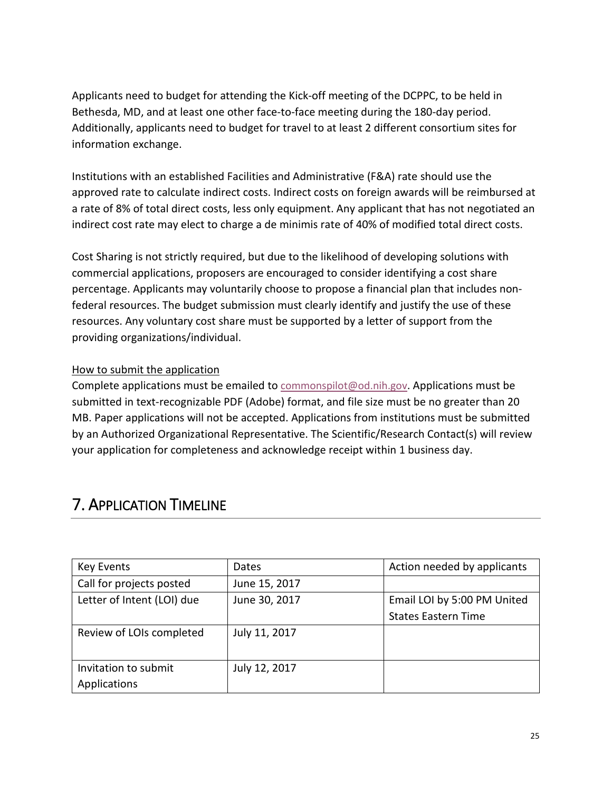Applicants need to budget for attending the Kick-off meeting of the DCPPC, to be held in Bethesda, MD, and at least one other face-to-face meeting during the 180-day period. Additionally, applicants need to budget for travel to at least 2 different consortium sites for information exchange.

Institutions with an established Facilities and Administrative (F&A) rate should use the approved rate to calculate indirect costs. Indirect costs on foreign awards will be reimbursed at a rate of 8% of total direct costs, less only equipment. Any applicant that has not negotiated an indirect cost rate may elect to charge a de minimis rate of 40% of modified total direct costs.

Cost Sharing is not strictly required, but due to the likelihood of developing solutions with commercial applications, proposers are encouraged to consider identifying a cost share percentage. Applicants may voluntarily choose to propose a financial plan that includes nonfederal resources. The budget submission must clearly identify and justify the use of these resources. Any voluntary cost share must be supported by a letter of support from the providing organizations/individual.

#### How to submit the application

Complete applications must be emailed to **commonspilot@od.nih.gov.** Applications must be submitted in text-recognizable PDF (Adobe) format, and file size must be no greater than 20 MB. Paper applications will not be accepted. Applications from institutions must be submitted by an Authorized Organizational Representative. The Scientific/Research Contact(s) will review your application for completeness and acknowledge receipt within 1 business day.

| <b>Key Events</b>          | Dates         | Action needed by applicants |
|----------------------------|---------------|-----------------------------|
| Call for projects posted   | June 15, 2017 |                             |
| Letter of Intent (LOI) due | June 30, 2017 | Email LOI by 5:00 PM United |
|                            |               | <b>States Eastern Time</b>  |
| Review of LOIs completed   | July 11, 2017 |                             |
| Invitation to submit       | July 12, 2017 |                             |
| Applications               |               |                             |

# 7. APPLICATION TIMELINE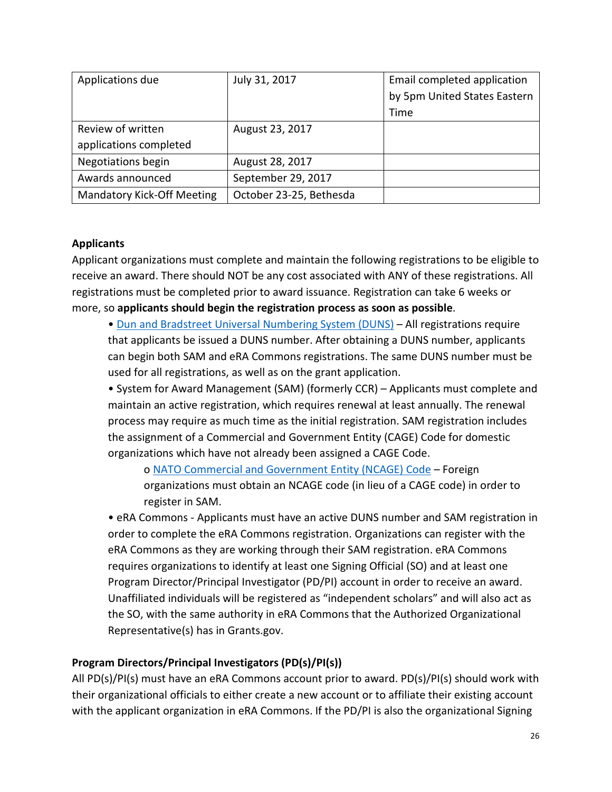| Applications due                  | July 31, 2017           | Email completed application  |
|-----------------------------------|-------------------------|------------------------------|
|                                   |                         | by 5pm United States Eastern |
|                                   |                         | Time                         |
| Review of written                 | August 23, 2017         |                              |
| applications completed            |                         |                              |
| Negotiations begin                | August 28, 2017         |                              |
| Awards announced                  | September 29, 2017      |                              |
| <b>Mandatory Kick-Off Meeting</b> | October 23-25, Bethesda |                              |

#### **Applicants**

Applicant organizations must complete and maintain the following registrations to be eligible to receive an award. There should NOT be any cost associated with ANY of these registrations. All registrations must be completed prior to award issuance. Registration can take 6 weeks or more, so **applicants should begin the registration process as soon as possible**.

• [Dun and Bradstreet Universal Numbering System \(DUNS\)](http://fedgov.dnb.com/webform) – All registrations require that applicants be issued a DUNS number. After obtaining a DUNS number, applicants can begin both SAM and eRA Commons registrations. The same DUNS number must be used for all registrations, as well as on the grant application.

• System for Award Management (SAM) (formerly CCR) – Applicants must complete and maintain an active registration, which requires renewal at least annually. The renewal process may require as much time as the initial registration. SAM registration includes the assignment of a Commercial and Government Entity (CAGE) Code for domestic organizations which have not already been assigned a CAGE Code.

o [NATO Commercial and Government Entity \(NCAGE\)](https://eportal.nspa.nato.int/AC135Public/Docs/US%20Instructions%20for%20NSPA%20NCAGE.pdf) Code – Foreign organizations must obtain an NCAGE code (in lieu of a CAGE code) in order to register in SAM.

• eRA Commons - Applicants must have an active DUNS number and SAM registration in order to complete the eRA Commons registration. Organizations can register with the eRA Commons as they are working through their SAM registration. eRA Commons requires organizations to identify at least one Signing Official (SO) and at least one Program Director/Principal Investigator (PD/PI) account in order to receive an award. Unaffiliated individuals will be registered as "independent scholars" and will also act as the SO, with the same authority in eRA Commons that the Authorized Organizational Representative(s) has in Grants.gov.

#### **Program Directors/Principal Investigators (PD(s)/PI(s))**

All PD(s)/PI(s) must have an eRA Commons account prior to award. PD(s)/PI(s) should work with their organizational officials to either create a new account or to affiliate their existing account with the applicant organization in eRA Commons. If the PD/PI is also the organizational Signing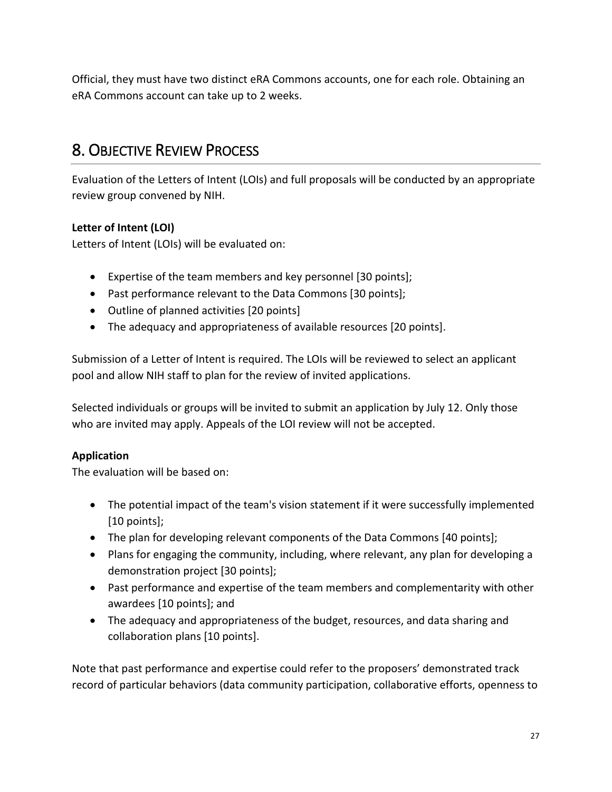Official, they must have two distinct eRA Commons accounts, one for each role. Obtaining an eRA Commons account can take up to 2 weeks.

# 8. OBJECTIVE REVIEW PROCESS

Evaluation of the Letters of Intent (LOIs) and full proposals will be conducted by an appropriate review group convened by NIH.

# **Letter of Intent (LOI)**

Letters of Intent (LOIs) will be evaluated on:

- Expertise of the team members and key personnel [30 points];
- Past performance relevant to the Data Commons [30 points];
- Outline of planned activities [20 points]
- The adequacy and appropriateness of available resources [20 points].

Submission of a Letter of Intent is required. The LOIs will be reviewed to select an applicant pool and allow NIH staff to plan for the review of invited applications.

Selected individuals or groups will be invited to submit an application by July 12. Only those who are invited may apply. Appeals of the LOI review will not be accepted.

# **Application**

The evaluation will be based on:

- The potential impact of the team's vision statement if it were successfully implemented [10 points];
- The plan for developing relevant components of the Data Commons [40 points];
- Plans for engaging the community, including, where relevant, any plan for developing a demonstration project [30 points];
- Past performance and expertise of the team members and complementarity with other awardees [10 points]; and
- The adequacy and appropriateness of the budget, resources, and data sharing and collaboration plans [10 points].

Note that past performance and expertise could refer to the proposers' demonstrated track record of particular behaviors (data community participation, collaborative efforts, openness to